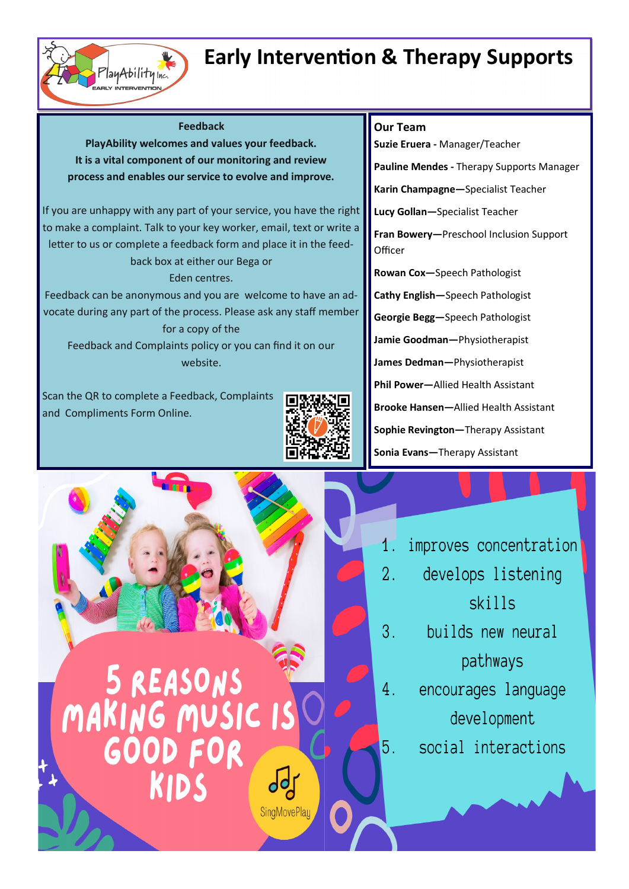## **Early Intervention & Therapy Supports**

#### **Feedback**

PlayAbilityInc.

**PlayAbility welcomes and values your feedback. It is a vital component of our monitoring and review process and enables our service to evolve and improve.**

If you are unhappy with any part of your service, you have the right to make a complaint. Talk to your key worker, email, text or write a letter to us or complete a feedback form and place it in the feedback box at either our Bega or

### Eden centres.

 vocate during any part of the process. Please ask any staff member Feedback can be anonymous and you are welcome to have an adfor a copy of the

Feedback and Complaints policy or you can find it on our website.

 Scan the QR to complete a Feedback, Complaints  and Compliments Form Online.



### **Our Team**

**Suzie Eruera -** Manager/Teacher

**Pauline Mendes -** Therapy Supports Manager

**Karin Champagne—**Specialist Teacher

**Lucy Gollan—**Specialist Teacher

**Fran Bowery—**Preschool Inclusion Support **Officer** 

**Rowan Cox—**Speech Pathologist

**Cathy English—**Speech Pathologist

**Georgie Begg—**Speech Pathologist

**Jamie Goodman—**Physiotherapist

**James Dedman—**Physiotherapist

**Phil Power—**Allied Health Assistant

**Brooke Hansen—**Allied Health Assistant

**Sophie Revington—**Therapy Assistant

**Sonia Evans—**Therapy Assistant



- improves concentration
- $\overline{2}$ . develops listening skills
- $3_{-}$ builds new neural pathways
- $4_{-}$ encourages language development

5.

social interactions